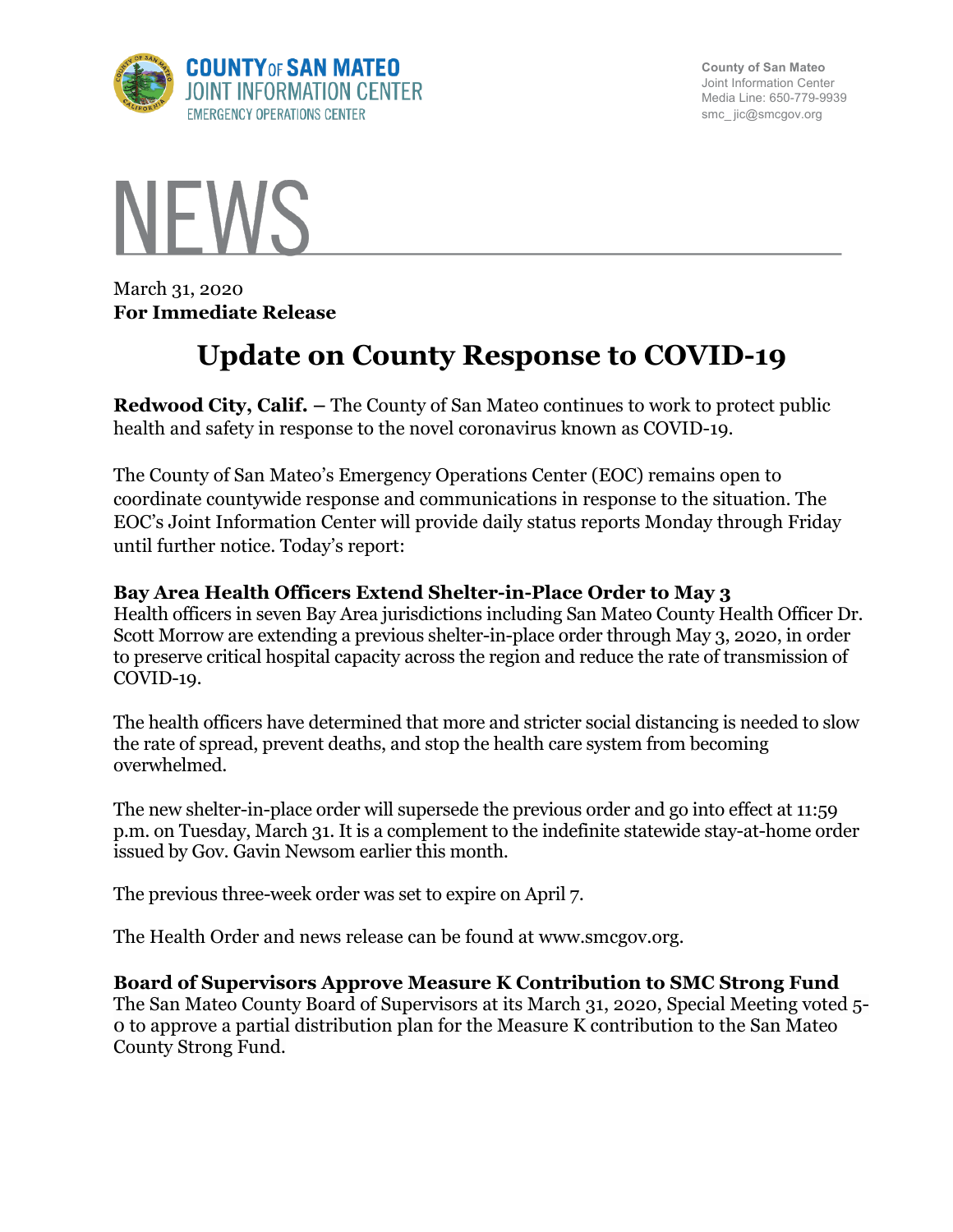

**County of San Mateo** Joint Information Center Media Line: 650-779-9939 smc\_ jic@smcgov.org



March 31, 2020 **For Immediate Release**

# **Update on County Response to COVID-19**

**Redwood City, Calif. –** The County of San Mateo continues to work to protect public health and safety in response to the novel coronavirus known as COVID-19.

The County of San Mateo's Emergency Operations Center (EOC) remains open to coordinate countywide response and communications in response to the situation. The EOC's Joint Information Center will provide daily status reports Monday through Friday until further notice. Today's report:

## **Bay Area Health Officers Extend Shelter-in-Place Order to May 3**

Health officers in seven Bay Area jurisdictions including San Mateo County Health Officer Dr. Scott Morrow are extending a previous shelter-in-place order through May 3, 2020, in order to preserve critical hospital capacity across the region and reduce the rate of transmission of COVID-19.

The health officers have determined that more and stricter social distancing is needed to slow the rate of spread, prevent deaths, and stop the health care system from becoming overwhelmed.

The new shelter-in-place order will supersede the previous order and go into effect at 11:59 p.m. on Tuesday, March 31. It is a complement to the indefinite statewide stay-at-home order issued by Gov. Gavin Newsom earlier this month.

The previous three-week order was set to expire on April 7.

The Health Order and news release can be found at www.smcgov.org.

## **Board of Supervisors Approve Measure K Contribution to SMC Strong Fund**

The San Mateo County Board of Supervisors at its March 31, 2020, Special Meeting voted 5- 0 to approve a partial distribution plan for the Measure K contribution to the San Mateo County Strong Fund.